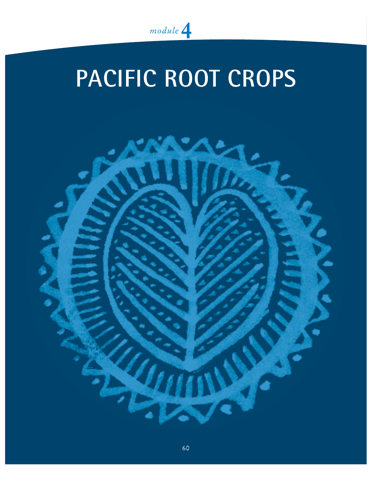

# **PACIFIC ROOT CROPS**

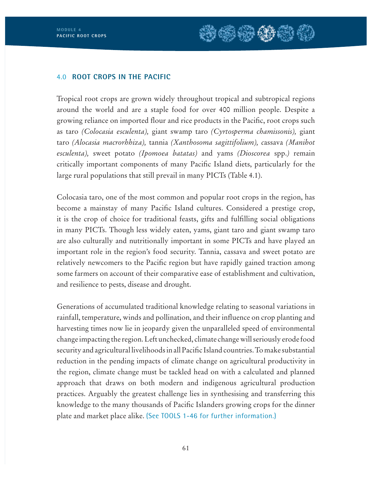

# 4.0 **ROOT CROPS IN THE PACIFIC**

Tropical root crops are grown widely throughout tropical and subtropical regions around the world and are a staple food for over 400 million people. Despite a growing reliance on imported flour and rice products in the Pacific, root crops such as taro *(Colocasia esculenta),* giant swamp taro *(Cyrtosperma chamissonis),* giant taro *(Alocasia macrorhhiza),* tannia *(Xanthosoma sagittifolium), c*assava *(Manihot esculenta),* sweet potato *(Ipomoea batatas)* and yams *(Dioscorea* spp.*)* remain critically important components of many Pacific Island diets, particularly for the large rural populations that still prevail in many PICTs (Table 4.1).

Colocasia taro, one of the most common and popular root crops in the region, has become a mainstay of many Pacific Island cultures. Considered a prestige crop, it is the crop of choice for traditional feasts, gifts and fulfilling social obligations in many PICTs. Though less widely eaten, yams, giant taro and giant swamp taro are also culturally and nutritionally important in some PICTs and have played an important role in the region's food security. Tannia, cassava and sweet potato are relatively newcomers to the Pacific region but have rapidly gained traction among some farmers on account of their comparative ease of establishment and cultivation, and resilience to pests, disease and drought.

Generations of accumulated traditional knowledge relating to seasonal variations in rainfall, temperature, winds and pollination, and their influence on crop planting and harvesting times now lie in jeopardy given the unparalleled speed of environmental change impacting the region. Left unchecked, climate change will seriously erode food security and agricultural livelihoods in all Pacific Island countries. To make substantial reduction in the pending impacts of climate change on agricultural productivity in the region, climate change must be tackled head on with a calculated and planned approach that draws on both modern and indigenous agricultural production practices. Arguably the greatest challenge lies in synthesising and transferring this knowledge to the many thousands of Pacific Islanders growing crops for the dinner plate and market place alike. (See TOOLS 1-46 for further information.)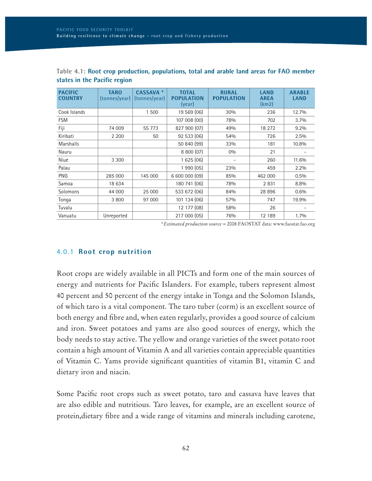| <b>PACIFIC</b><br><b>COUNTRY</b> | <b>TARO</b><br>(tonnes/year) | <b>CASSAVA *</b><br>(tonnes/year) | <b>TOTAL</b><br><b>POPULATION</b><br>(year) | <b>RURAL</b><br><b>POPULATION</b> | <b>LAND</b><br><b>AREA</b><br>(km2) | <b>ARABLE</b><br><b>LAND</b> |
|----------------------------------|------------------------------|-----------------------------------|---------------------------------------------|-----------------------------------|-------------------------------------|------------------------------|
| Cook Islands                     |                              | 1 500                             | 19 569 (06)                                 | 30%                               | 236                                 | 12.7%                        |
| <b>FSM</b>                       |                              |                                   | 107 008 (00)                                | 78%                               | 702                                 | 3.7%                         |
| Fiji                             | 74 009                       | 55 7 7 3                          | 827 900 (07)                                | 49%                               | 18 27 2                             | 9.2%                         |
| Kiribati                         | 2 2 0 0                      | 50                                | 92 533 (06)                                 | 54%                               | 726                                 | 2.5%                         |
| Marshalls                        |                              |                                   | 50 840 (99)                                 | 33%                               | 181                                 | 10.8%                        |
| Nauru                            |                              |                                   | 8 800 (07)                                  | 0%                                | 21                                  |                              |
| Niue                             | 3 3 0 0                      |                                   | 1625(06)                                    |                                   | 260                                 | 11.6%                        |
| Palau                            |                              |                                   | 1990(05)                                    | 23%                               | 459                                 | $2.2\%$                      |
| <b>PNG</b>                       | 285 000                      | 145 000                           | 6 600 000 (09)                              | 85%                               | 462 000                             | 0.5%                         |
| Samoa                            | 18 634                       |                                   | 180 741 (06)                                | 78%                               | 2 8 3 1                             | 8.8%                         |
| Solomons                         | 44 000                       | 25 000                            | 533 672 (06)                                | 84%                               | 28 896                              | 0.6%                         |
| Tonga                            | 3 800                        | 97 000                            | 101 134 (06)                                | 57%                               | 747                                 | 19.9%                        |
| Tuvalu                           |                              |                                   | 12 177 (08)                                 | 58%                               | 26                                  |                              |
| Vanuatu                          | Unreported                   |                                   | 217 000 (05)                                | 76%                               | 12 189                              | 1.7%                         |

**Table 4.1: Root crop production, populations, total and arable land areas for FAO member states in the Pacific region**

\**Estimated production source* = 2008 FAOSTAT data: www.faostat.fao.org

# 4.0.1 **Root crop nutrition**

Root crops are widely available in all PICTs and form one of the main sources of energy and nutrients for Pacific Islanders. For example, tubers represent almost 40 percent and 50 percent of the energy intake in Tonga and the Solomon Islands, of which taro is a vital component. The taro tuber (corm) is an excellent source of both energy and fibre and, when eaten regularly, provides a good source of calcium and iron. Sweet potatoes and yams are also good sources of energy, which the body needs to stay active. The yellow and orange varieties of the sweet potato root contain a high amount of Vitamin A and all varieties contain appreciable quantities of Vitamin C. Yams provide significant quantities of vitamin B1, vitamin C and dietary iron and niacin.

Some Pacific root crops such as sweet potato, taro and cassava have leaves that are also edible and nutritious. Taro leaves, for example, are an excellent source of protein,dietary fibre and a wide range of vitamins and minerals including carotene,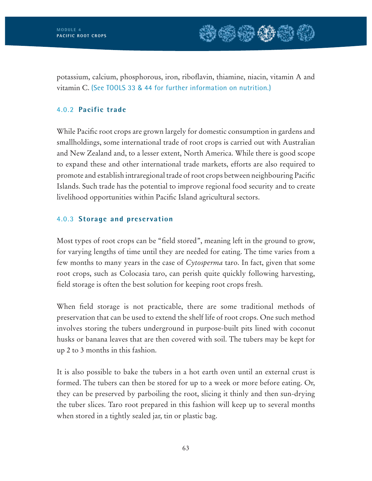

potassium, calcium, phosphorous, iron, riboflavin, thiamine, niacin, vitamin A and vitamin C. (See TOOLS 33 & 44 for further information on nutrition.)

# 4.0.2 **Pacific trade**

While Pacific root crops are grown largely for domestic consumption in gardens and smallholdings, some international trade of root crops is carried out with Australian and New Zealand and, to a lesser extent, North America. While there is good scope to expand these and other international trade markets, efforts are also required to promote and establish intraregional trade of root crops between neighbouring Pacific Islands. Such trade has the potential to improve regional food security and to create livelihood opportunities within Pacific Island agricultural sectors.

# 4.0.3 **Storage and preservation**

Most types of root crops can be "field stored", meaning left in the ground to grow, for varying lengths of time until they are needed for eating. The time varies from a few months to many years in the case of *Cytosperma* taro. In fact, given that some root crops, such as Colocasia taro, can perish quite quickly following harvesting, field storage is often the best solution for keeping root crops fresh.

When field storage is not practicable, there are some traditional methods of preservation that can be used to extend the shelf life of root crops. One such method involves storing the tubers underground in purpose-built pits lined with coconut husks or banana leaves that are then covered with soil. The tubers may be kept for up 2 to 3 months in this fashion.

It is also possible to bake the tubers in a hot earth oven until an external crust is formed. The tubers can then be stored for up to a week or more before eating. Or, they can be preserved by parboiling the root, slicing it thinly and then sun-drying the tuber slices. Taro root prepared in this fashion will keep up to several months when stored in a tightly sealed jar, tin or plastic bag.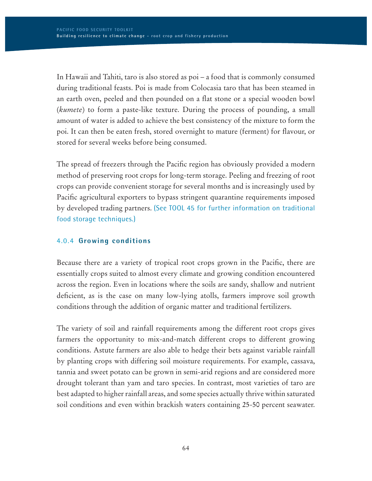In Hawaii and Tahiti, taro is also stored as poi – a food that is commonly consumed during traditional feasts. Poi is made from Colocasia taro that has been steamed in an earth oven, peeled and then pounded on a flat stone or a special wooden bowl (*kumete*) to form a paste-like texture. During the process of pounding, a small amount of water is added to achieve the best consistency of the mixture to form the poi. It can then be eaten fresh, stored overnight to mature (ferment) for flavour, or stored for several weeks before being consumed.

The spread of freezers through the Pacific region has obviously provided a modern method of preserving root crops for long-term storage. Peeling and freezing of root crops can provide convenient storage for several months and is increasingly used by Pacific agricultural exporters to bypass stringent quarantine requirements imposed by developed trading partners. (See TOOL 45 for further information on traditional food storage techniques.)

# 4.0.4 **Growing conditions**

Because there are a variety of tropical root crops grown in the Pacific, there are essentially crops suited to almost every climate and growing condition encountered across the region. Even in locations where the soils are sandy, shallow and nutrient deficient, as is the case on many low-lying atolls, farmers improve soil growth conditions through the addition of organic matter and traditional fertilizers.

The variety of soil and rainfall requirements among the different root crops gives farmers the opportunity to mix-and-match different crops to different growing conditions. Astute farmers are also able to hedge their bets against variable rainfall by planting crops with differing soil moisture requirements. For example, cassava, tannia and sweet potato can be grown in semi-arid regions and are considered more drought tolerant than yam and taro species. In contrast, most varieties of taro are best adapted to higher rainfall areas, and some species actually thrive within saturated soil conditions and even within brackish waters containing 25-50 percent seawater.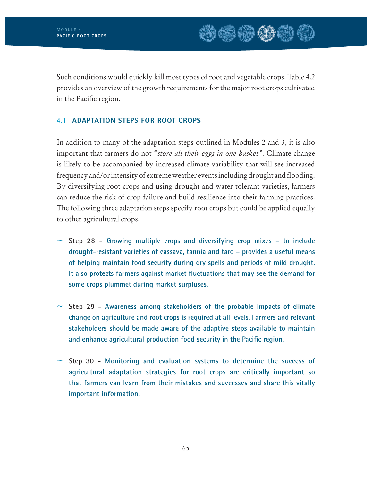

Such conditions would quickly kill most types of root and vegetable crops. Table 4.2 provides an overview of the growth requirements for the major root crops cultivated in the Pacific region.

# 4.1 **ADAPTATION STEPS FOR ROOT CROPS**

In addition to many of the adaptation steps outlined in Modules 2 and 3, it is also important that farmers do not "*store all their eggs in one basket"*. Climate change is likely to be accompanied by increased climate variability that will see increased frequency and/or intensity of extreme weather events including drought and flooding. By diversifying root crops and using drought and water tolerant varieties, farmers can reduce the risk of crop failure and build resilience into their farming practices. The following three adaptation steps specify root crops but could be applied equally to other agricultural crops.

- ~ **Step 28 Growing multiple crops and diversifying crop mixes to include drought-resistant varieties of cassava, tannia and taro – provides a useful means of helping maintain food security during dry spells and periods of mild drought. It also protects farmers against market fluctuations that may see the demand for some crops plummet during market surpluses.**
- ~ **Step 29 Awareness among stakeholders of the probable impacts of climate change on agriculture and root crops is required at all levels. Farmers and relevant stakeholders should be made aware of the adaptive steps available to maintain and enhance agricultural production food security in the Pacific region.**
- ~ **Step 30 Monitoring and evaluation systems to determine the success of agricultural adaptation strategies for root crops are critically important so that farmers can learn from their mistakes and successes and share this vitally important information.**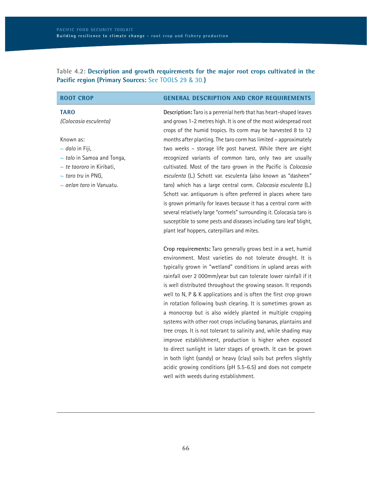## **Table 4.2: Description and growth requirements for the major root crops cultivated in the Pacific region (Primary Sources:** See TOOLS 29 & 30.**)**

### **TARO**

*(Colocasia esculenta)*

#### Known as:

- ~ *dalo* in Fiji,
- ~ *talo* in Samoa and Tonga,
- ~ *te taororo* in Kiribati,
- ~ *taro tru* in PNG,
- ~ *aelan taro* in Vanuatu.

#### **ROOT CROP GENERAL DESCRIPTION AND CROP REQUIREMENTS**

**Description:** Taro is a perrenial herb that has heart-shaped leaves and grows 1-2 metres high. It is one of the most widespread root crops of the humid tropics. Its corm may be harvested 8 to 12 months after planting. The taro corm has limited – approximately two weeks – storage life post harvest. While there are eight recognized variants of common taro, only two are usually cultivated. Most of the taro grown in the Pacific is *Colocasia esculenta* (L.) Schott var. esculenta (also known as "dasheen" taro) which has a large central corm. *Colocasia esculenta* (L.) Schott var. antiquorum is often preferred in places where taro is grown primarily for leaves because it has a central corm with several relatively large "cormels" surrounding it. Colocasia taro is susceptible to some pests and diseases including taro leaf blight, plant leaf hoppers, caterpillars and mites.

**Crop requirements:** Taro generally grows best in a wet, humid environment. Most varieties do not tolerate drought. It is typically grown in "wetland" conditions in upland areas with rainfall over 2 000mm/year but can tolerate lower rainfall if it is well distributed throughout the growing season. It responds well to N, P & K applications and is often the first crop grown in rotation following bush clearing. It is sometimes grown as a monocrop but is also widely planted in multiple cropping systems with other root crops including bananas, plantains and tree crops. It is not tolerant to salinity and, while shading may improve establishment, production is higher when exposed to direct sunlight in later stages of growth. It can be grown in both light (sandy) or heavy (clay) soils but prefers slightly acidic growing conditions (pH 5.5-6.5) and does not compete well with weeds during establishment.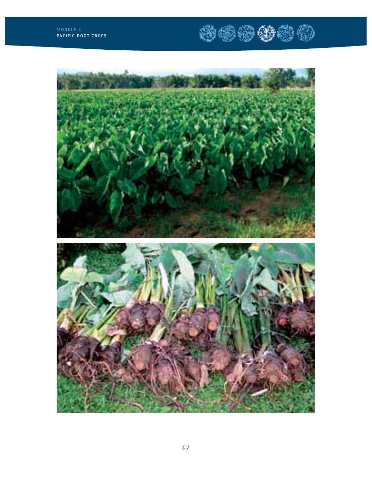

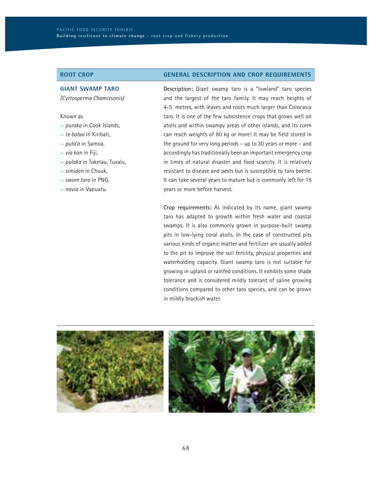#### **GIANT SWAMP TARO**

*(Cyrtosperma Chamissonis)*

#### Known as

- ~ *puraka* in Cook Islands,
- ~ *te babai* in Kiribati,
- ~ *pula'a* in Samoa,
- ~ *via kan* in Fiji,
- ~ *pulaka* in Tokelau, Tuvalu,
- ~ *simiden* in Chuuk,
- ~ *swam taro* in PNG,
- ~ *navia* in Vanuatu.

#### **ROOT CROP GENERAL DESCRIPTION AND CROP REQUIREMENTS**

**Description:** Giant swamp taro is a "lowland" taro species and the largest of the taro family. It may reach heights of 4-5 metres, with leaves and roots much larger than Colocasia taro. It is one of the few subsistence crops that grows well on atolls and within swampy areas of other islands, and its corm can reach weights of 80 kg or more! It may be field stored in the ground for very long periods – up to 30 years or more – and accordingly has traditionally been an important emergency crop in times of natural disaster and food scarcity. It is relatively resistant to disease and pests but is susceptible to taro beetle. It can take several years to mature but is commonly left for 15 years or more before harvest.

**Crop requirements:** As indicated by its name, giant swamp taro has adapted to growth within fresh water and coastal swamps. It is also commonly grown in purpose-built swamp pits in low-lying coral atolls. In the case of constructed pits various kinds of organic matter and fertilizer are usually added to the pit to improve the soil fertility, physical properties and waterholding capacity. Giant swamp taro is not suitable for growing in upland or rainfed conditions. It exhibits some shade tolerance and is considered mildly tolerant of saline growing conditions compared to other taro species, and can be grown in mildly brackish water.

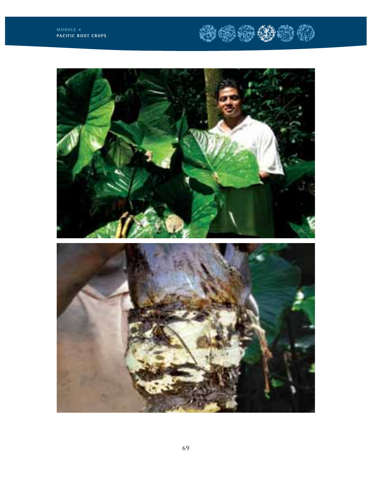

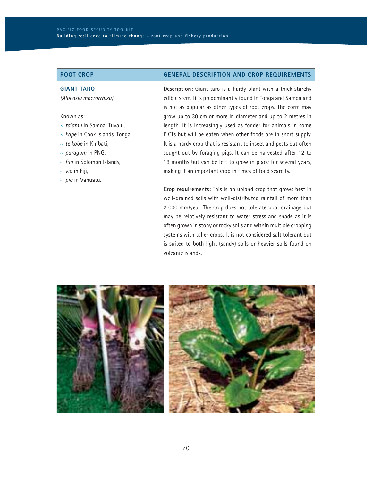## **GIANT TARO**

*(Alocasia macrorrhiza)*

#### Known as:

- ~ *ta'amu* in Samoa, Tuvalu,
- ~ *kape* in Cook Islands, Tonga,
- ~ *te kabe* in Kiribati,
- ~ *paragum* in PNG,
- ~ *fila* in Solomon Islands,
- $\sim$  *via* in Fiji,
- ~ *pia* in Vanuatu.

#### **ROOT CROP GENERAL DESCRIPTION AND CROP REQUIREMENTS**

**Description:** Giant taro is a hardy plant with a thick starchy edible stem. It is predominantly found in Tonga and Samoa and is not as popular as other types of root crops. The corm may grow up to 30 cm or more in diameter and up to 2 metres in length. It is increasingly used as fodder for animals in some PICTs but will be eaten when other foods are in short supply. It is a hardy crop that is resistant to insect and pests but often sought out by foraging pigs. It can be harvested after 12 to 18 months but can be left to grow in place for several years, making it an important crop in times of food scarcity.

**Crop requirements:** This is an upland crop that grows best in well-drained soils with well-distributed rainfall of more than 2 000 mm/year. The crop does not tolerate poor drainage but may be relatively resistant to water stress and shade as it is often grown in stony or rocky soils and within multiple cropping systems with taller crops. It is not considered salt tolerant but is suited to both light (sandy) soils or heavier soils found on volcanic islands.

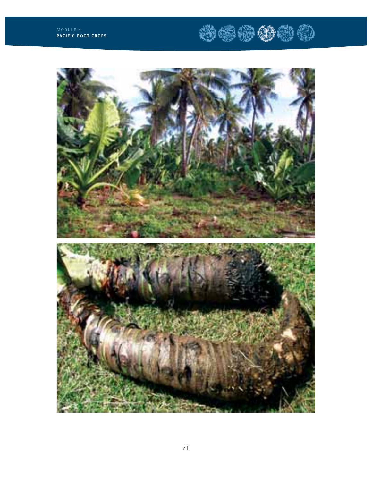

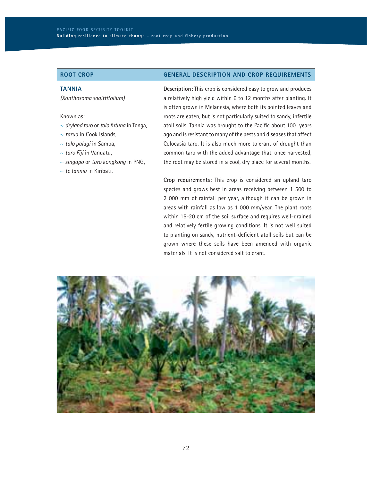## **TANNIA**

*(Xanthosoma sagittifolium)*

Known as:

- ~ *dryland taro* or *talo futuna* in Tonga,
- ~ *tarua* in Cook Islands,
- ~ *talo palagi* in Samoa,
- ~ *taro Fiji* in Vanuatu,
- ~ *singapo* or *taro kongkong* in PNG,
- ~ *te tannia* in Kiribati.

#### **ROOT CROP GENERAL DESCRIPTION AND CROP REQUIREMENTS**

**Description:** This crop is considered easy to grow and produces a relatively high yield within 6 to 12 months after planting. It is often grown in Melanesia, where both its pointed leaves and roots are eaten, but is not particularly suited to sandy, infertile atoll soils. Tannia was brought to the Pacific about 100 years ago and is resistant to many of the pests and diseases that affect Colocasia taro. It is also much more tolerant of drought than common taro with the added advantage that, once harvested, the root may be stored in a cool, dry place for several months.

**Crop requirements:** This crop is considered an upland taro species and grows best in areas receiving between 1 500 to 2 000 mm of rainfall per year, although it can be grown in areas with rainfall as low as 1 000 mm/year. The plant roots within 15-20 cm of the soil surface and requires well-drained and relatively fertile growing conditions. It is not well suited to planting on sandy, nutrient-deficient atoll soils but can be grown where these soils have been amended with organic materials. It is not considered salt tolerant.

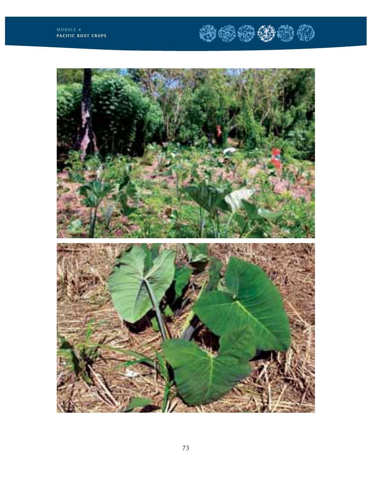

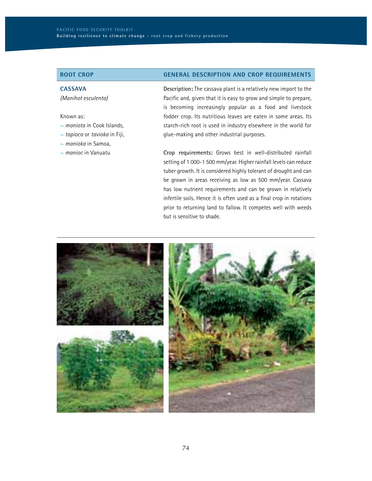# **CASSAVA**

*(Manihot esculenta)* 

#### Known as:

- ~ *maniota* in Cook Islands,
- ~ *tapioca* or *tavioka* in Fiji,
- ~ *manioka* in Samoa,
- ~ *manioc* in Vanuatu

## **ROOT CROP GENERAL DESCRIPTION AND CROP REQUIREMENTS**

**Description:** The cassava plant is a relatively new import to the Pacific and, given that it is easy to grow and simple to prepare, is becoming increasingly popular as a food and livestock fodder crop. Its nutritious leaves are eaten in some areas. Its starch-rich root is used in industry elsewhere in the world for glue-making and other industrial purposes.

**Crop requirements:** Grows best in well-distributed rainfall setting of 1 000-1 500 mm/year. Higher rainfall levels can reduce tuber growth. It is considered highly tolerant of drought and can be grown in areas receiving as low as 500 mm/year. Cassava has low nutrient requirements and can be grown in relatively infertile soils. Hence it is often used as a final crop in rotations prior to returning land to fallow. It competes well with weeds but is sensitive to shade.

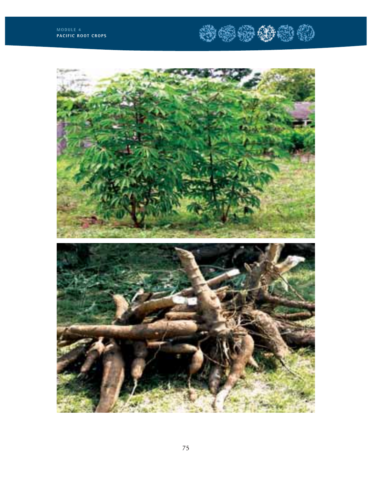

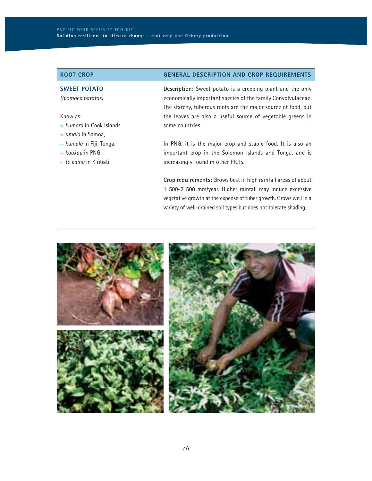## **SWEET POTATO**

*(Ipomoea batatas)*

#### Know as:

- ~ *kumara* in Cook Islands
- ~ *umala* in Samoa,
- ~ *kumala* in Fiji, Tonga,
- ~ *kaukau* in PNG,
- ~ *te kaina* in Kiribati

## **ROOT CROP GENERAL DESCRIPTION AND CROP REQUIREMENTS**

**Description:** Sweet potato is a creeping plant and the only economically important species of the family Convolvulaceae. The starchy, tuberous roots are the major source of food, but the leaves are also a useful source of vegetable greens in some countries.

In PNG, it is the major crop and staple food. It is also an important crop in the Solomon Islands and Tonga, and is increasingly found in other PICTs.

**Crop requirements:** Grows best in high rainfall areas of about 1 500-2 500 mm/year. Higher rainfall may induce excessive vegetative growth at the expense of tuber growth. Grows well in a variety of well-drained soil types but does not tolerate shading.

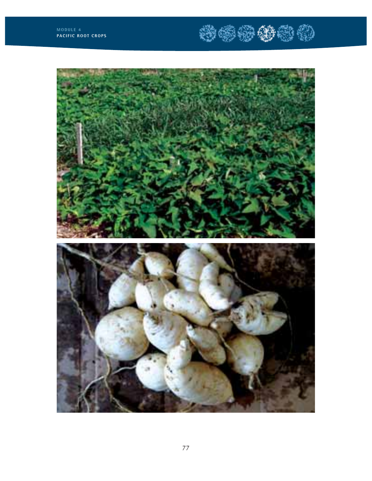

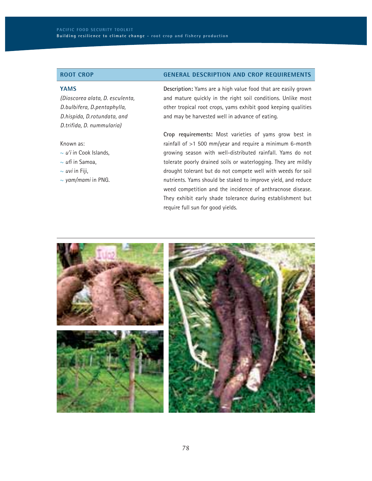#### **YAMS**

*(Dioscorea alata, D. esculenta, D.bulbifera, D.pentaphylla, D.hispida, D.rotundata, and D.trifida, D. nummularia)*

#### Known as:

- ~ *u'i* in Cook Islands,
- ~ *ufi* in Samoa,
- $\sim$  *uvi* in Fiji,
- ~ *yam/mami* in PNG.

## **ROOT CROP GENERAL DESCRIPTION AND CROP REQUIREMENTS**

**Description:** Yams are a high value food that are easily grown and mature quickly in the right soil conditions. Unlike most other tropical root crops, yams exhibit good keeping qualities and may be harvested well in advance of eating.

**Crop requirements:** Most varieties of yams grow best in rainfall of >1 500 mm/year and require a minimum 6-month growing season with well-distributed rainfall. Yams do not tolerate poorly drained soils or waterlogging. They are mildly drought tolerant but do not compete well with weeds for soil nutrients. Yams should be staked to improve yield, and reduce weed competition and the incidence of anthracnose disease. They exhibit early shade tolerance during establishment but require full sun for good yields.